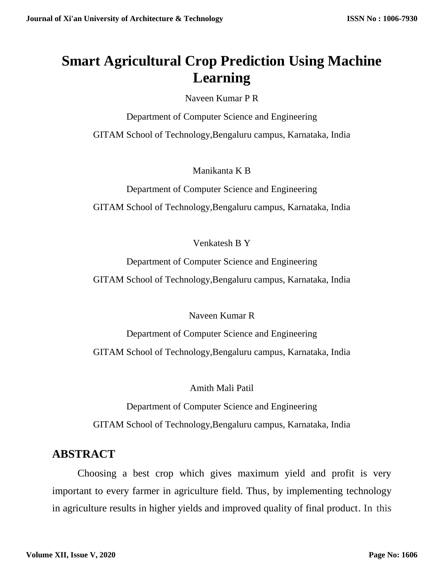# **Smart Agricultural Crop Prediction Using Machine Learning**

Naveen Kumar P R

Department of Computer Science and Engineering GITAM School of Technology,Bengaluru campus, Karnataka, India

Manikanta K B

Department of Computer Science and Engineering GITAM School of Technology,Bengaluru campus, Karnataka, India

Venkatesh B Y

Department of Computer Science and Engineering GITAM School of Technology,Bengaluru campus, Karnataka, India

Naveen Kumar R

Department of Computer Science and Engineering GITAM School of Technology,Bengaluru campus, Karnataka, India

Amith Mali Patil

Department of Computer Science and Engineering GITAM School of Technology,Bengaluru campus, Karnataka, India

# **ABSTRACT**

 Choosing a best crop which gives maximum yield and profit is very important to every farmer in agriculture field. Thus, by implementing technology in agriculture results in higher yields and improved quality of final product. In this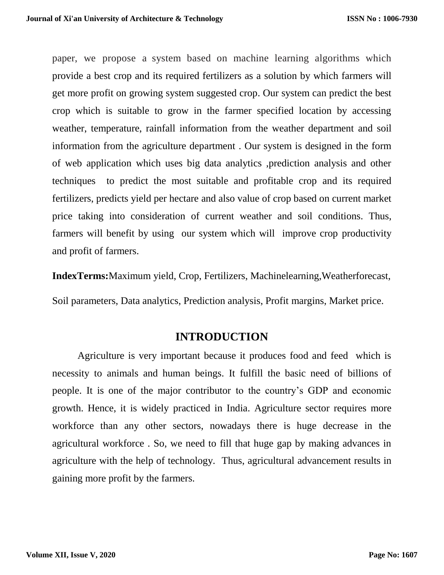paper, we propose a system based on machine learning algorithms which provide a best crop and its required fertilizers as a solution by which farmers will get more profit on growing system suggested crop. Our system can predict the best crop which is suitable to grow in the farmer specified location by accessing weather, temperature, rainfall information from the weather department and soil information from the agriculture department . Our system is designed in the form of web application which uses big data analytics ,prediction analysis and other techniques to predict the most suitable and profitable crop and its required fertilizers, predicts yield per hectare and also value of crop based on current market price taking into consideration of current weather and soil conditions. Thus, farmers will benefit by using our system which will improve crop productivity and profit of farmers.

**IndexTerms:**Maximum yield, Crop, Fertilizers, Machinelearning,Weatherforecast,

Soil parameters, Data analytics, Prediction analysis, Profit margins, Market price.

#### **INTRODUCTION**

 Agriculture is very important because it produces food and feed which is necessity to animals and human beings. It fulfill the basic need of billions of people. It is one of the major contributor to the country's GDP and economic growth. Hence, it is widely practiced in India. Agriculture sector requires more workforce than any other sectors, nowadays there is huge decrease in the agricultural workforce . So, we need to fill that huge gap by making advances in agriculture with the help of technology. Thus, agricultural advancement results in gaining more profit by the farmers.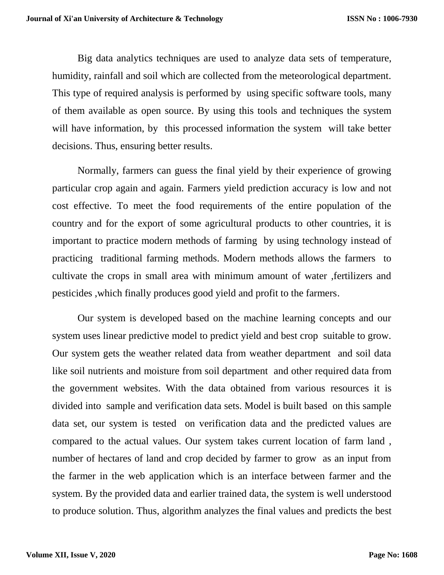Big data analytics techniques are used to analyze data sets of temperature, humidity, rainfall and soil which are collected from the meteorological department. This type of required analysis is performed by using specific software tools, many of them available as open source. By using this tools and techniques the system will have information, by this processed information the system will take better decisions. Thus, ensuring better results.

 Normally, farmers can guess the final yield by their experience of growing particular crop again and again. Farmers yield prediction accuracy is low and not cost effective. To meet the food requirements of the entire population of the country and for the export of some agricultural products to other countries, it is important to practice modern methods of farming by using technology instead of practicing traditional farming methods. Modern methods allows the farmers to cultivate the crops in small area with minimum amount of water ,fertilizers and pesticides ,which finally produces good yield and profit to the farmers.

 Our system is developed based on the machine learning concepts and our system uses linear predictive model to predict yield and best crop suitable to grow. Our system gets the weather related data from weather department and soil data like soil nutrients and moisture from soil department and other required data from the government websites. With the data obtained from various resources it is divided into sample and verification data sets. Model is built based on this sample data set, our system is tested on verification data and the predicted values are compared to the actual values. Our system takes current location of farm land , number of hectares of land and crop decided by farmer to grow as an input from the farmer in the web application which is an interface between farmer and the system. By the provided data and earlier trained data, the system is well understood to produce solution. Thus, algorithm analyzes the final values and predicts the best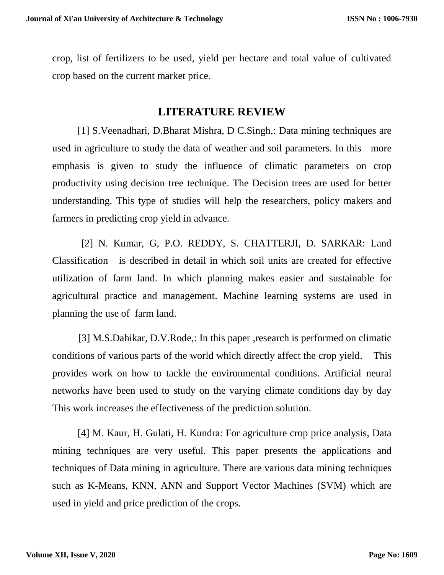crop, list of fertilizers to be used, yield per hectare and total value of cultivated crop based on the current market price.

#### **LITERATURE REVIEW**

 [1] S.Veenadhari, D.Bharat Mishra, D C.Singh,: Data mining techniques are used in agriculture to study the data of weather and soil parameters. In this more emphasis is given to study the influence of climatic parameters on crop productivity using decision tree technique. The Decision trees are used for better understanding. This type of studies will help the researchers, policy makers and farmers in predicting crop yield in advance.

 [2] N. Kumar, G, P.O. REDDY, S. CHATTERJI, D. SARKAR: Land Classification is described in detail in which soil units are created for effective utilization of farm land. In which planning makes easier and sustainable for agricultural practice and management. Machine learning systems are used in planning the use of farm land.

 [3] M.S.Dahikar, D.V.Rode,: In this paper ,research is performed on climatic conditions of various parts of the world which directly affect the crop yield. This provides work on how to tackle the environmental conditions. Artificial neural networks have been used to study on the varying climate conditions day by day This work increases the effectiveness of the prediction solution.

 [4] M. Kaur, H. Gulati, H. Kundra: For agriculture crop price analysis, Data mining techniques are very useful. This paper presents the applications and techniques of Data mining in agriculture. There are various data mining techniques such as K-Means, KNN, ANN and Support Vector Machines (SVM) which are used in yield and price prediction of the crops.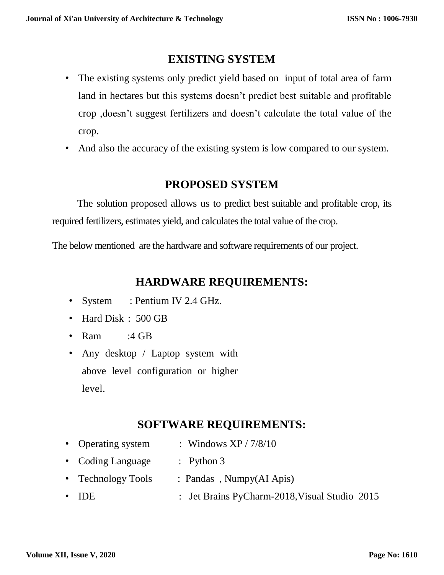# **EXISTING SYSTEM**

- The existing systems only predict yield based on input of total area of farm land in hectares but this systems doesn't predict best suitable and profitable crop ,doesn't suggest fertilizers and doesn't calculate the total value of the crop.
- And also the accuracy of the existing system is low compared to our system.

## **PROPOSED SYSTEM**

 The solution proposed allows us to predict best suitable and profitable crop, its required fertilizers, estimates yield, and calculates the total value of the crop.

The below mentioned are the hardware and software requirements of our project.

## **HARDWARE REQUIREMENTS:**

- System: Pentium IV 2.4 GHz.
- Hard Disk : 500 GB
- Ram:4 GB
- Any desktop / Laptop system with above level configuration or higher level.

# **SOFTWARE REQUIREMENTS:**

- Operating system: Windows XP / 7/8/10
- Coding Language: Python 3
- Technology Tools: Pandas , Numpy(AI Apis)
- IDE : Jet Brains PyCharm-2018, Visual Studio 2015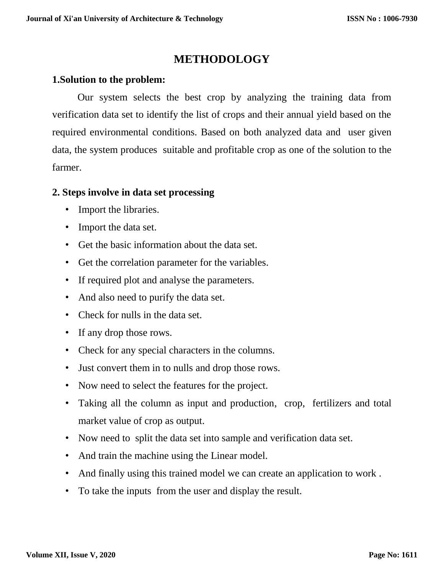# **METHODOLOGY**

#### **1.Solution to the problem:**

 Our system selects the best crop by analyzing the training data from verification data set to identify the list of crops and their annual yield based on the required environmental conditions. Based on both analyzed data and user given data, the system produces suitable and profitable crop as one of the solution to the farmer.

#### **2. Steps involve in data set processing**

- Import the libraries.
- Import the data set.
- Get the basic information about the data set.
- Get the correlation parameter for the variables.
- If required plot and analyse the parameters.
- And also need to purify the data set.
- Check for nulls in the data set.
- If any drop those rows.
- Check for any special characters in the columns.
- Just convert them in to nulls and drop those rows.
- Now need to select the features for the project.
- Taking all the column as input and production, crop, fertilizers and total market value of crop as output.
- Now need to split the data set into sample and verification data set.
- And train the machine using the Linear model.
- And finally using this trained model we can create an application to work .
- To take the inputs from the user and display the result.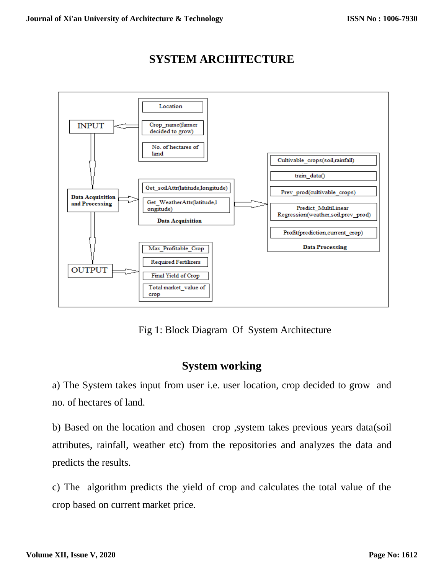



Fig 1: Block Diagram Of System Architecture

#### **System working**

a) The System takes input from user i.e. user location, crop decided to grow and no. of hectares of land.

b) Based on the location and chosen crop ,system takes previous years data(soil attributes, rainfall, weather etc) from the repositories and analyzes the data and predicts the results.

c) The algorithm predicts the yield of crop and calculates the total value of the crop based on current market price.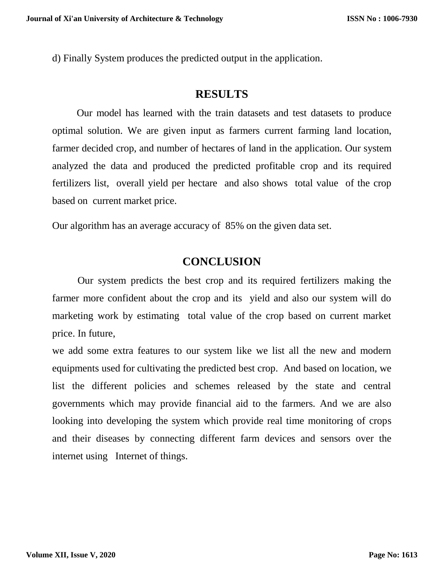d) Finally System produces the predicted output in the application.

#### **RESULTS**

 Our model has learned with the train datasets and test datasets to produce optimal solution. We are given input as farmers current farming land location, farmer decided crop, and number of hectares of land in the application. Our system analyzed the data and produced the predicted profitable crop and its required fertilizers list, overall yield per hectare and also shows total value of the crop based on current market price.

Our algorithm has an average accuracy of 85% on the given data set.

#### **CONCLUSION**

 Our system predicts the best crop and its required fertilizers making the farmer more confident about the crop and its yield and also our system will do marketing work by estimating total value of the crop based on current market price. In future,

we add some extra features to our system like we list all the new and modern equipments used for cultivating the predicted best crop. And based on location, we list the different policies and schemes released by the state and central governments which may provide financial aid to the farmers. And we are also looking into developing the system which provide real time monitoring of crops and their diseases by connecting different farm devices and sensors over the internet using Internet of things.